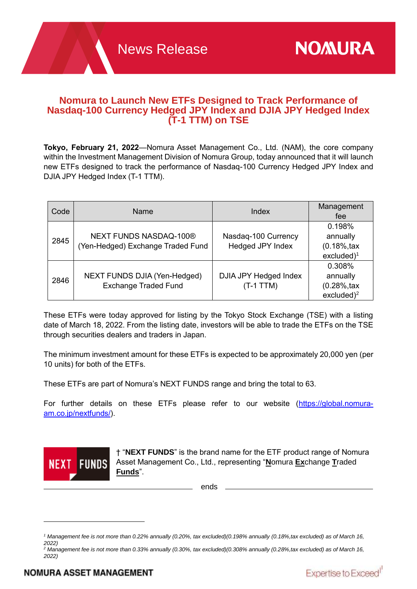Expertise to Exceed<sup>1</sup>

# **Nomura to Launch New ETFs Designed to Track Performance of Nasdaq-100 Currency Hedged JPY Index and DJIA JPY Hedged Index (T-1 TTM) on TSE**

**Tokyo, February 21, 2022**—Nomura Asset Management Co., Ltd. (NAM), the core company within the Investment Management Division of Nomura Group, today announced that it will launch new ETFs designed to track the performance of Nasdaq-100 Currency Hedged JPY Index and DJIA JPY Hedged Index (T-1 TTM).

| Code | Name                                                               | Index                                   | Management<br>fee                                                      |
|------|--------------------------------------------------------------------|-----------------------------------------|------------------------------------------------------------------------|
| 2845 | <b>NEXT FUNDS NASDAQ-100®</b><br>(Yen-Hedged) Exchange Traded Fund | Nasdaq-100 Currency<br>Hedged JPY Index | 0.198%<br>annually<br>$(0.18\%, \text{tax})$<br>excluded) <sup>1</sup> |
| 2846 | <b>NEXT FUNDS DJIA (Yen-Hedged)</b><br><b>Exchange Traded Fund</b> | DJIA JPY Hedged Index<br>$(T-1)$ TTM)   | 0.308%<br>annually<br>$(0.28\%, \text{tax})$<br>excluded) <sup>2</sup> |

These ETFs were today approved for listing by the Tokyo Stock Exchange (TSE) with a listing date of March 18, 2022. From the listing date, investors will be able to trade the ETFs on the TSE through securities dealers and traders in Japan.

The minimum investment amount for these ETFs is expected to be approximately 20,000 yen (per 10 units) for both of the ETFs.

These ETFs are part of Nomura's NEXT FUNDS range and bring the total to 63.

For further details on these ETFs please refer to our website [\(https://global.nomura](https://global.nomura-am.co.jp/nextfunds/)[am.co.jp/nextfunds/\)](https://global.nomura-am.co.jp/nextfunds/).



† "**NEXT FUNDS**" is the brand name for the ETF product range of Nomura Asset Management Co., Ltd., representing "**N**omura **Ex**change **T**raded **Funds**".

ends

*<sup>1</sup> Management fee is not more than 0.22% annually (0.20%, tax excluded)(0.198% annually (0.18%,tax excluded) as of March 16, 2022)*

*<sup>2</sup> Management fee is not more than 0.33% annually (0.30%, tax excluded)(0.308% annually (0.28%,tax excluded) as of March 16, 2022)*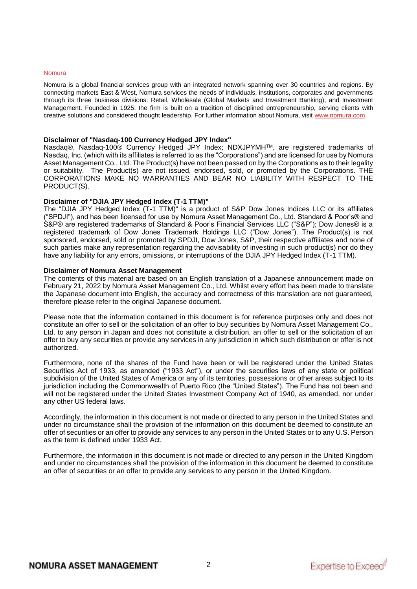#### Nomura

Nomura is a global financial services group with an integrated network spanning over 30 countries and regions. By connecting markets East & West, Nomura services the needs of individuals, institutions, corporates and governments through its three business divisions: Retail, Wholesale (Global Markets and Investment Banking), and Investment Management. Founded in 1925, the firm is built on a tradition of disciplined entrepreneurship, serving clients with creative solutions and considered thought leadership. For further information about Nomura, visit [www.nomura.com.](https://www.nomura.com/)

#### **Disclaimer of "Nasdaq-100 Currency Hedged JPY Index"**

Nasdaq®, Nasdaq-100® Currency Hedged JPY Index; NDXJPYMHTM, are registered trademarks of Nasdaq, Inc. (which with its affiliates is referred to as the "Corporations") and are licensed for use by Nomura Asset Management Co., Ltd. The Product(s) have not been passed on by the Corporations as to their legality or suitability. The Product(s) are not issued, endorsed, sold, or promoted by the Corporations. THE CORPORATIONS MAKE NO WARRANTIES AND BEAR NO LIABILITY WITH RESPECT TO THE PRODUCT(S).

# **Disclaimer of "DJIA JPY Hedged Index (T-1 TTM)"**

The "DJIA JPY Hedged Index (T-1 TTM)" is a product of S&P Dow Jones Indices LLC or its affiliates ("SPDJI"), and has been licensed for use by Nomura Asset Management Co., Ltd. Standard & Poor's® and S&P® are registered trademarks of Standard & Poor's Financial Services LLC ("S&P"); Dow Jones® is a registered trademark of Dow Jones Trademark Holdings LLC ("Dow Jones"). The Product(s) is not sponsored, endorsed, sold or promoted by SPDJI, Dow Jones, S&P, their respective affiliates and none of such parties make any representation regarding the advisability of investing in such product(s) nor do they have any liability for any errors, omissions, or interruptions of the DJIA JPY Hedged Index (T-1 TTM).

#### **Disclaimer of Nomura Asset Management**

The contents of this material are based on an English translation of a Japanese announcement made on February 21, 2022 by Nomura Asset Management Co., Ltd. Whilst every effort has been made to translate the Japanese document into English, the accuracy and correctness of this translation are not guaranteed, therefore please refer to the original Japanese document.

Please note that the information contained in this document is for reference purposes only and does not constitute an offer to sell or the solicitation of an offer to buy securities by Nomura Asset Management Co., Ltd. to any person in Japan and does not constitute a distribution, an offer to sell or the solicitation of an offer to buy any securities or provide any services in any jurisdiction in which such distribution or offer is not authorized.

Furthermore, none of the shares of the Fund have been or will be registered under the United States Securities Act of 1933, as amended ("1933 Act"), or under the securities laws of any state or political subdivision of the United States of America or any of its territories, possessions or other areas subject to its jurisdiction including the Commonwealth of Puerto Rico (the "United States"). The Fund has not been and will not be registered under the United States Investment Company Act of 1940, as amended, nor under any other US federal laws.

Accordingly, the information in this document is not made or directed to any person in the United States and under no circumstance shall the provision of the information on this document be deemed to constitute an offer of securities or an offer to provide any services to any person in the United States or to any U.S. Person as the term is defined under 1933 Act.

Furthermore, the information in this document is not made or directed to any person in the United Kingdom and under no circumstances shall the provision of the information in this document be deemed to constitute an offer of securities or an offer to provide any services to any person in the United Kingdom.